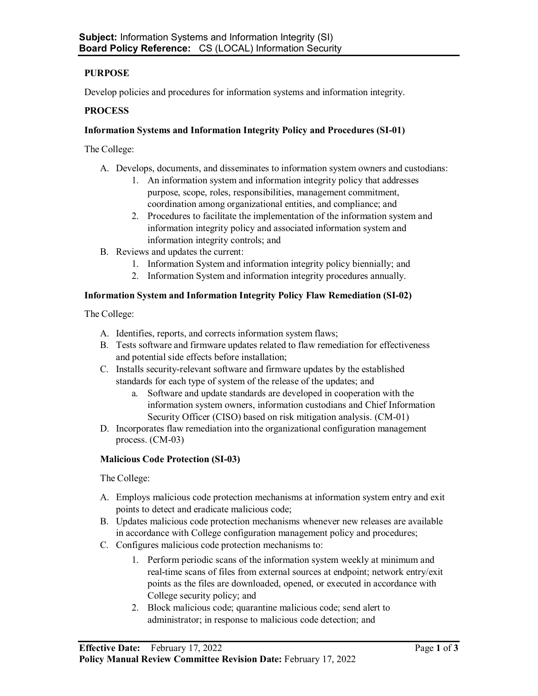# **PURPOSE**

Develop policies and procedures for information systems and information integrity.

## **PROCESS**

## **Information Systems and Information Integrity Policy and Procedures (SI-01)**

The College:

- A. Develops, documents, and disseminates to information system owners and custodians:
	- 1. An information system and information integrity policy that addresses purpose, scope, roles, responsibilities, management commitment, coordination among organizational entities, and compliance; and
	- 2. Procedures to facilitate the implementation of the information system and information integrity policy and associated information system and information integrity controls; and
- B. Reviews and updates the current:
	- 1. Information System and information integrity policy biennially; and
	- 2. Information System and information integrity procedures annually.

## **Information System and Information Integrity Policy Flaw Remediation (SI-02)**

The College:

- A. Identifies, reports, and corrects information system flaws;
- B. Tests software and firmware updates related to flaw remediation for effectiveness and potential side effects before installation;
- C. Installs security-relevant software and firmware updates by the established standards for each type of system of the release of the updates; and
	- a. Software and update standards are developed in cooperation with the information system owners, information custodians and Chief Information Security Officer (CISO) based on risk mitigation analysis. (CM-01)
- D. Incorporates flaw remediation into the organizational configuration management process. (CM-03)

# **Malicious Code Protection (SI-03)**

The College:

- A. Employs malicious code protection mechanisms at information system entry and exit points to detect and eradicate malicious code;
- B. Updates malicious code protection mechanisms whenever new releases are available in accordance with College configuration management policy and procedures;
- C. Configures malicious code protection mechanisms to:
	- 1. Perform periodic scans of the information system weekly at minimum and real-time scans of files from external sources at endpoint; network entry/exit points as the files are downloaded, opened, or executed in accordance with College security policy; and
	- 2. Block malicious code; quarantine malicious code; send alert to administrator; in response to malicious code detection; and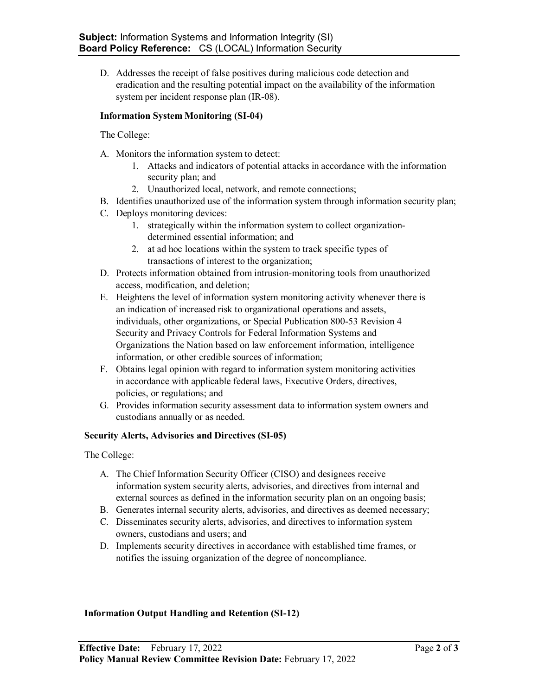D. Addresses the receipt of false positives during malicious code detection and eradication and the resulting potential impact on the availability of the information system per incident response plan (IR-08).

### **Information System Monitoring (SI-04)**

The College:

- A. Monitors the information system to detect:
	- 1. Attacks and indicators of potential attacks in accordance with the information security plan; and
	- 2. Unauthorized local, network, and remote connections;
- B. Identifies unauthorized use of the information system through information security plan;
- C. Deploys monitoring devices:
	- 1. strategically within the information system to collect organizationdetermined essential information; and
	- 2. at ad hoc locations within the system to track specific types of transactions of interest to the organization;
- D. Protects information obtained from intrusion-monitoring tools from unauthorized access, modification, and deletion;
- E. Heightens the level of information system monitoring activity whenever there is an indication of increased risk to organizational operations and assets, individuals, other organizations, or Special Publication 800-53 Revision 4 Security and Privacy Controls for Federal Information Systems and Organizations the Nation based on law enforcement information, intelligence information, or other credible sources of information;
- F. Obtains legal opinion with regard to information system monitoring activities in accordance with applicable federal laws, Executive Orders, directives, policies, or regulations; and
- G. Provides information security assessment data to information system owners and custodians annually or as needed.

### **Security Alerts, Advisories and Directives (SI-05)**

The College:

- A. The Chief Information Security Officer (CISO) and designees receive information system security alerts, advisories, and directives from internal and external sources as defined in the information security plan on an ongoing basis;
- B. Generates internal security alerts, advisories, and directives as deemed necessary;
- C. Disseminates security alerts, advisories, and directives to information system owners, custodians and users; and
- D. Implements security directives in accordance with established time frames, or notifies the issuing organization of the degree of noncompliance.

#### **Information Output Handling and Retention (SI-12)**